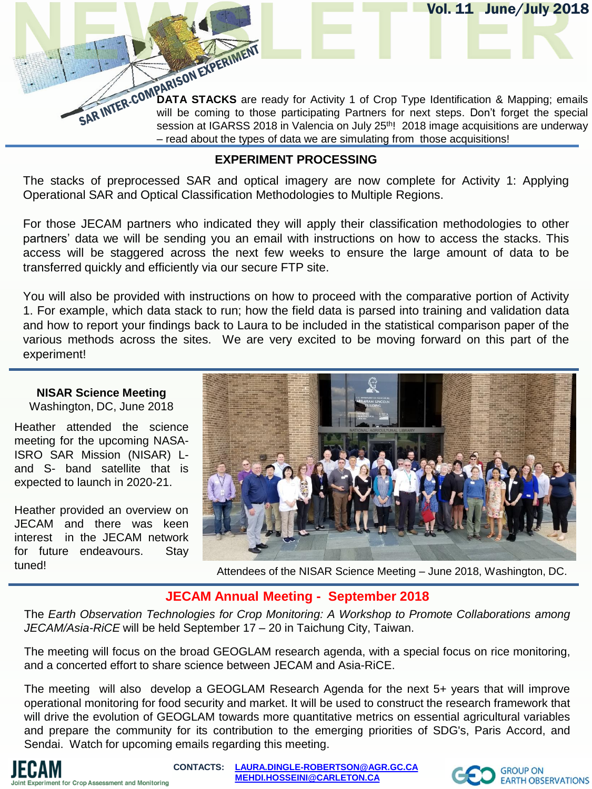**DATA STACKS** are ready for Activity 1 of Crop Type Identification & Mapping; emails will be coming to those participating Partners for next steps. Don't forget the special session at IGARSS 2018 in Valencia on July 25<sup>th</sup>! 2018 image acquisitions are underway – read about the types of data we are simulating from those acquisitions!

Vol. 11 June/July 2018

### **EXPERIMENT PROCESSING**

The stacks of preprocessed SAR and optical imagery are now complete for Activity 1: Applying Operational SAR and Optical Classification Methodologies to Multiple Regions.

For those JECAM partners who indicated they will apply their classification methodologies to other partners' data we will be sending you an email with instructions on how to access the stacks. This access will be staggered across the next few weeks to ensure the large amount of data to be transferred quickly and efficiently via our secure FTP site.

You will also be provided with instructions on how to proceed with the comparative portion of Activity 1. For example, which data stack to run; how the field data is parsed into training and validation data and how to report your findings back to Laura to be included in the statistical comparison paper of the various methods across the sites. We are very excited to be moving forward on this part of the experiment!

# **NISAR Science Meeting**

Washington, DC, June 2018

Heather attended the science meeting for the upcoming NASA-ISRO SAR Mission (NISAR) Land S- band satellite that is expected to launch in 2020-21.

Heather provided an overview on JECAM and there was keen interest in the JECAM network for future endeavours. Stay



tuned! Attendees of the NISAR Science Meeting – June 2018, Washington, DC.

## **JECAM Annual Meeting - September 2018**

The *Earth Observation Technologies for Crop Monitoring: A Workshop to Promote Collaborations among JECAM/Asia-RiCE* will be held September 17 – 20 in Taichung City, Taiwan.

The meeting will focus on the broad GEOGLAM research agenda, with a special focus on rice monitoring, and a concerted effort to share science between JECAM and Asia-RiCE.

The meeting will also develop a GEOGLAM Research Agenda for the next 5+ years that will improve operational monitoring for food security and market. It will be used to construct the research framework that will drive the evolution of GEOGLAM towards more quantitative metrics on essential agricultural variables and prepare the community for its contribution to the emerging priorities of SDG's, Paris Accord, and Sendai. Watch for upcoming emails regarding this meeting.

**CONTACTS: [LAURA.DINGLE-ROBERTSON@AGR.GC.CA](mailto:LAURA.DINGLE-ROBERTSON@AGR.GC.CA) [MEHDI.HOSSEINI@CARLETON.CA](mailto:MEHDI.HOSSEINI@CARLETON.CA)**